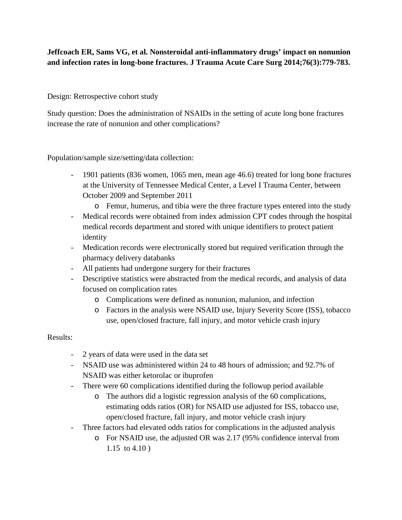## **Jeffcoach ER, Sams VG, et al. Nonsteroidal anti-inflammatory drugs' impact on nonunion and infection rates in long-bone fractures. J Trauma Acute Care Surg 2014;76(3):779-783.**

Design: Retrospective cohort study

Study question: Does the administration of NSAIDs in the setting of acute long bone fractures increase the rate of nonunion and other complications?

Population/sample size/setting/data collection:

- 1901 patients (836 women, 1065 men, mean age 46.6) treated for long bone fractures at the University of Tennessee Medical Center, a Level I Trauma Center, between October 2009 and September 2011
	- o Femur, humerus, and tibia were the three fracture types entered into the study
- Medical records were obtained from index admission CPT codes through the hospital medical records department and stored with unique identifiers to protect patient identity
- Medication records were electronically stored but required verification through the pharmacy delivery databanks
- All patients had undergone surgery for their fractures
- Descriptive statistics were abstracted from the medical records, and analysis of data focused on complication rates
	- o Complications were defined as nonunion, malunion, and infection
	- o Factors in the analysis were NSAID use, Injury Severity Score (ISS), tobacco use, open/closed fracture, fall injury, and motor vehicle crash injury

## Results:

- 2 years of data were used in the data set
- NSAID use was administered within 24 to 48 hours of admission; and 92.7% of NSAID was either ketorolac or ibuprofen
- There were 60 complications identified during the followup period available
	- o The authors did a logistic regression analysis of the 60 complications, estimating odds ratios (OR) for NSAID use adjusted for ISS, tobacco use, open/closed fracture, fall injury, and motor vehicle crash injury
- Three factors had elevated odds ratios for complications in the adjusted analysis
	- o For NSAID use, the adjusted OR was 2.17 (95% confidence interval from 1.15 to 4.10 )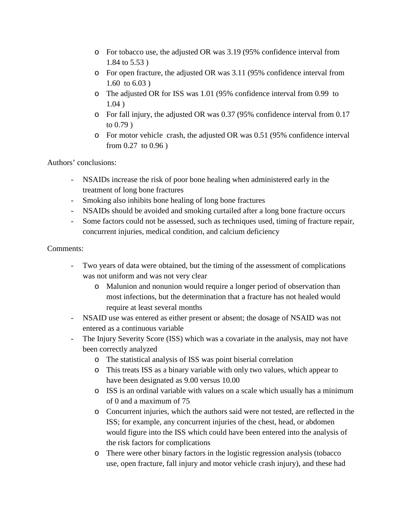- o For tobacco use, the adjusted OR was 3.19 (95% confidence interval from 1.84 to 5.53 )
- o For open fracture, the adjusted OR was 3.11 (95% confidence interval from 1.60 to 6.03 )
- o The adjusted OR for ISS was 1.01 (95% confidence interval from 0.99 to 1.04 )
- o For fall injury, the adjusted OR was 0.37 (95% confidence interval from 0.17 to 0.79 )
- o For motor vehicle crash, the adjusted OR was 0.51 (95% confidence interval from 0.27 to 0.96 )

Authors' conclusions:

- NSAIDs increase the risk of poor bone healing when administered early in the treatment of long bone fractures
- Smoking also inhibits bone healing of long bone fractures
- NSAIDs should be avoided and smoking curtailed after a long bone fracture occurs
- Some factors could not be assessed, such as techniques used, timing of fracture repair, concurrent injuries, medical condition, and calcium deficiency

## Comments:

- Two years of data were obtained, but the timing of the assessment of complications was not uniform and was not very clear
	- o Malunion and nonunion would require a longer period of observation than most infections, but the determination that a fracture has not healed would require at least several months
- NSAID use was entered as either present or absent; the dosage of NSAID was not entered as a continuous variable
- The Injury Severity Score (ISS) which was a covariate in the analysis, may not have been correctly analyzed
	- o The statistical analysis of ISS was point biserial correlation
	- o This treats ISS as a binary variable with only two values, which appear to have been designated as 9.00 versus 10.00
	- o ISS is an ordinal variable with values on a scale which usually has a minimum of 0 and a maximum of 75
	- o Concurrent injuries, which the authors said were not tested, are reflected in the ISS; for example, any concurrent injuries of the chest, head, or abdomen would figure into the ISS which could have been entered into the analysis of the risk factors for complications
	- o There were other binary factors in the logistic regression analysis (tobacco use, open fracture, fall injury and motor vehicle crash injury), and these had